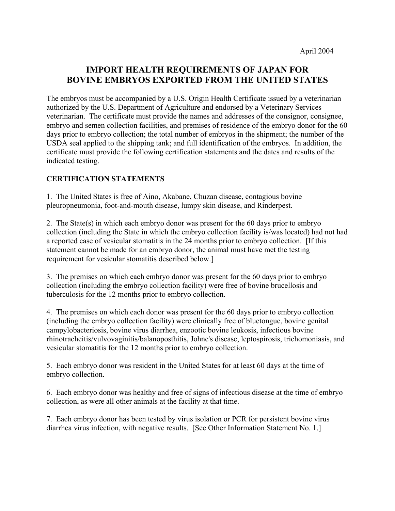# **IMPORT HEALTH REQUIREMENTS OF JAPAN FOR BOVINE EMBRYOS EXPORTED FROM THE UNITED STATES**

The embryos must be accompanied by a U.S. Origin Health Certificate issued by a veterinarian authorized by the U.S. Department of Agriculture and endorsed by a Veterinary Services veterinarian. The certificate must provide the names and addresses of the consignor, consignee, embryo and semen collection facilities, and premises of residence of the embryo donor for the 60 days prior to embryo collection; the total number of embryos in the shipment; the number of the USDA seal applied to the shipping tank; and full identification of the embryos. In addition, the certificate must provide the following certification statements and the dates and results of the indicated testing.

# **CERTIFICATION STATEMENTS**

1. The United States is free of Aino, Akabane, Chuzan disease, contagious bovine pleuropneumonia, foot-and-mouth disease, lumpy skin disease, and Rinderpest.

2. The State(s) in which each embryo donor was present for the 60 days prior to embryo collection (including the State in which the embryo collection facility is/was located) had not had a reported case of vesicular stomatitis in the 24 months prior to embryo collection. [If this statement cannot be made for an embryo donor, the animal must have met the testing requirement for vesicular stomatitis described below.]

3. The premises on which each embryo donor was present for the 60 days prior to embryo collection (including the embryo collection facility) were free of bovine brucellosis and tuberculosis for the 12 months prior to embryo collection.

4. The premises on which each donor was present for the 60 days prior to embryo collection (including the embryo collection facility) were clinically free of bluetongue, bovine genital campylobacteriosis, bovine virus diarrhea, enzootic bovine leukosis, infectious bovine rhinotracheitis/vulvovaginitis/balanoposthitis, Johne's disease, leptospirosis, trichomoniasis, and vesicular stomatitis for the 12 months prior to embryo collection.

5. Each embryo donor was resident in the United States for at least 60 days at the time of embryo collection.

6. Each embryo donor was healthy and free of signs of infectious disease at the time of embryo collection, as were all other animals at the facility at that time.

7. Each embryo donor has been tested by virus isolation or PCR for persistent bovine virus diarrhea virus infection, with negative results. [See Other Information Statement No. 1.]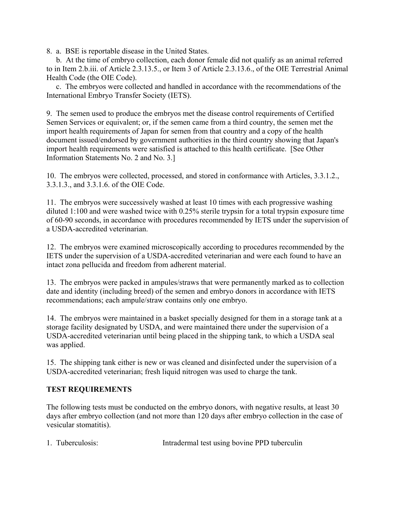8. a. BSE is reportable disease in the United States.

 b. At the time of embryo collection, each donor female did not qualify as an animal referred to in Item 2.b.iii. of Article 2.3.13.5., or Item 3 of Article 2.3.13.6., of the OIE Terrestrial Animal Health Code (the OIE Code).

 c. The embryos were collected and handled in accordance with the recommendations of the International Embryo Transfer Society (IETS).

9. The semen used to produce the embryos met the disease control requirements of Certified Semen Services or equivalent; or, if the semen came from a third country, the semen met the import health requirements of Japan for semen from that country and a copy of the health document issued/endorsed by government authorities in the third country showing that Japan's import health requirements were satisfied is attached to this health certificate. [See Other Information Statements No. 2 and No. 3.]

10. The embryos were collected, processed, and stored in conformance with Articles, 3.3.1.2., 3.3.1.3., and 3.3.1.6. of the OIE Code.

11. The embryos were successively washed at least 10 times with each progressive washing diluted 1:100 and were washed twice with 0.25% sterile trypsin for a total trypsin exposure time of 60-90 seconds, in accordance with procedures recommended by IETS under the supervision of a USDA-accredited veterinarian.

12. The embryos were examined microscopically according to procedures recommended by the IETS under the supervision of a USDA-accredited veterinarian and were each found to have an intact zona pellucida and freedom from adherent material.

13. The embryos were packed in ampules/straws that were permanently marked as to collection date and identity (including breed) of the semen and embryo donors in accordance with IETS recommendations; each ampule/straw contains only one embryo.

14. The embryos were maintained in a basket specially designed for them in a storage tank at a storage facility designated by USDA, and were maintained there under the supervision of a USDA-accredited veterinarian until being placed in the shipping tank, to which a USDA seal was applied.

15. The shipping tank either is new or was cleaned and disinfected under the supervision of a USDA-accredited veterinarian; fresh liquid nitrogen was used to charge the tank.

## **TEST REQUIREMENTS**

The following tests must be conducted on the embryo donors, with negative results, at least 30 days after embryo collection (and not more than 120 days after embryo collection in the case of vesicular stomatitis).

|  | 1. Tuberculosis: | Intradermal test using bovine PPD tuberculin |
|--|------------------|----------------------------------------------|
|--|------------------|----------------------------------------------|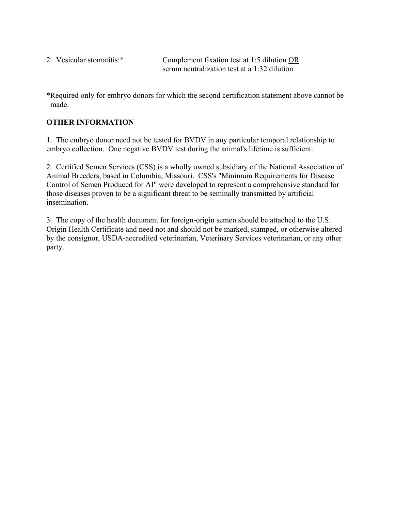| 2. Vesicular stomatitis:* | Complement fixation test at 1:5 dilution $OR$ |  |  |
|---------------------------|-----------------------------------------------|--|--|
|                           | serum neutralization test at a 1:32 dilution  |  |  |

\*Required only for embryo donors for which the second certification statement above cannot be made.

# **OTHER INFORMATION**

1. The embryo donor need not be tested for BVDV in any particular temporal relationship to embryo collection. One negative BVDV test during the animal's lifetime is sufficient.

2. Certified Semen Services (CSS) is a wholly owned subsidiary of the National Association of Animal Breeders, based in Columbia, Missouri. CSS's "Minimum Requirements for Disease Control of Semen Produced for AI" were developed to represent a comprehensive standard for those diseases proven to be a significant threat to be seminally transmitted by artificial insemination.

3. The copy of the health document for foreign-origin semen should be attached to the U.S. Origin Health Certificate and need not and should not be marked, stamped, or otherwise altered by the consignor, USDA-accredited veterinarian, Veterinary Services veterinarian, or any other party.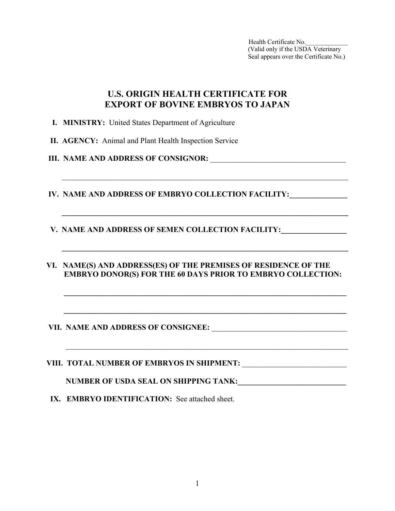# **U.S. ORIGIN HEALTH CERTIFICATE FOR EXPORT OF BOVINE EMBRYOS TO JAPAN**

 $\mathcal{L}_\mathcal{L} = \mathcal{L}_\mathcal{L} = \mathcal{L}_\mathcal{L} = \mathcal{L}_\mathcal{L} = \mathcal{L}_\mathcal{L} = \mathcal{L}_\mathcal{L} = \mathcal{L}_\mathcal{L} = \mathcal{L}_\mathcal{L} = \mathcal{L}_\mathcal{L} = \mathcal{L}_\mathcal{L} = \mathcal{L}_\mathcal{L} = \mathcal{L}_\mathcal{L} = \mathcal{L}_\mathcal{L} = \mathcal{L}_\mathcal{L} = \mathcal{L}_\mathcal{L} = \mathcal{L}_\mathcal{L} = \mathcal{L}_\mathcal{L}$ 

 $\mathcal{L} = \{ \mathcal{L} = \{ \mathcal{L} \mid \mathcal{L} = \{ \mathcal{L} \mid \mathcal{L} = \{ \mathcal{L} \mid \mathcal{L} = \{ \mathcal{L} \mid \mathcal{L} = \{ \mathcal{L} \mid \mathcal{L} = \{ \mathcal{L} \mid \mathcal{L} = \{ \mathcal{L} \mid \mathcal{L} = \{ \mathcal{L} \mid \mathcal{L} = \{ \mathcal{L} \mid \mathcal{L} = \{ \mathcal{L} \mid \mathcal{L} = \{ \mathcal{L} \mid \mathcal{L} = \{ \mathcal{L} \mid \mathcal{L} =$ 

 $\mathcal{L} = \{ \mathcal{L} = \{ \mathcal{L} \mid \mathcal{L} = \{ \mathcal{L} \mid \mathcal{L} = \{ \mathcal{L} \mid \mathcal{L} = \{ \mathcal{L} \mid \mathcal{L} = \{ \mathcal{L} \mid \mathcal{L} = \{ \mathcal{L} \mid \mathcal{L} = \{ \mathcal{L} \mid \mathcal{L} = \{ \mathcal{L} \mid \mathcal{L} = \{ \mathcal{L} \mid \mathcal{L} = \{ \mathcal{L} \mid \mathcal{L} = \{ \mathcal{L} \mid \mathcal{L} = \{ \mathcal{L} \mid \mathcal{L} =$ 

- **I. MINISTRY:** United States Department of Agriculture
- **II. AGENCY:** Animal and Plant Health Inspection Service
- **III. NAME AND ADDRESS OF CONSIGNOR:** \_\_\_\_\_\_\_\_\_\_\_\_\_\_\_\_\_\_\_\_\_\_\_\_\_\_\_\_\_\_\_\_\_\_\_
- **IV. NAME AND ADDRESS OF EMBRYO COLLECTION FACILITY:**
- **V. NAME AND ADDRESS OF SEMEN COLLECTION FACILITY:\_\_\_\_\_\_\_\_\_\_\_\_\_\_\_\_\_\_\_\_\_\_\_\_\_\_\_\_\_\_**
- **VI. NAME(S) AND ADDRESS(ES) OF THE PREMISES OF RESIDENCE OF THE EMBRYO DONOR(S) FOR THE 60 DAYS PRIOR TO EMBRYO COLLECTION:**

 $\mathcal{L} = \frac{1}{2} \sum_{i=1}^{n} \frac{1}{2} \sum_{j=1}^{n} \frac{1}{2} \sum_{j=1}^{n} \frac{1}{2} \sum_{j=1}^{n} \frac{1}{2} \sum_{j=1}^{n} \frac{1}{2} \sum_{j=1}^{n} \frac{1}{2} \sum_{j=1}^{n} \frac{1}{2} \sum_{j=1}^{n} \frac{1}{2} \sum_{j=1}^{n} \frac{1}{2} \sum_{j=1}^{n} \frac{1}{2} \sum_{j=1}^{n} \frac{1}{2} \sum_{j=1}^{n} \frac{1}{2} \sum$ 

 $\mathcal{L} = \frac{1}{2} \sum_{i=1}^{n} \frac{1}{2} \sum_{j=1}^{n} \frac{1}{2} \sum_{j=1}^{n} \frac{1}{2} \sum_{j=1}^{n} \frac{1}{2} \sum_{j=1}^{n} \frac{1}{2} \sum_{j=1}^{n} \frac{1}{2} \sum_{j=1}^{n} \frac{1}{2} \sum_{j=1}^{n} \frac{1}{2} \sum_{j=1}^{n} \frac{1}{2} \sum_{j=1}^{n} \frac{1}{2} \sum_{j=1}^{n} \frac{1}{2} \sum_{j=1}^{n} \frac{1}{2} \sum$ 

 $\mathcal{L}_\text{max} = \frac{1}{2} \sum_{i=1}^{n} \frac{1}{2} \sum_{i=1}^{n} \frac{1}{2} \sum_{i=1}^{n} \frac{1}{2} \sum_{i=1}^{n} \frac{1}{2} \sum_{i=1}^{n} \frac{1}{2} \sum_{i=1}^{n} \frac{1}{2} \sum_{i=1}^{n} \frac{1}{2} \sum_{i=1}^{n} \frac{1}{2} \sum_{i=1}^{n} \frac{1}{2} \sum_{i=1}^{n} \frac{1}{2} \sum_{i=1}^{n} \frac{1}{2} \sum_{i=1}^{n} \frac{1$ 

### **VII. NAME AND ADDRESS OF CONSIGNEE:** \_\_\_\_\_\_\_\_\_\_\_\_\_\_\_\_\_\_\_\_\_\_\_\_\_\_\_\_\_\_\_\_\_\_\_

**VIII. TOTAL NUMBER OF EMBRYOS IN SHIPMENT:** \_\_\_\_\_\_\_\_\_\_\_\_\_\_\_\_\_\_\_\_\_\_\_\_\_\_\_

NUMBER OF USDA SEAL ON SHIPPING TANK: **\_\_\_\_\_\_\_\_\_\_\_\_\_\_\_\_\_\_\_\_\_\_\_\_** 

**IX. EMBRYO IDENTIFICATION:** See attached sheet.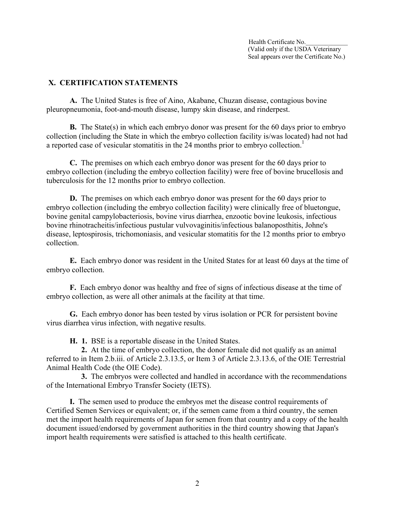#### **X. CERTIFICATION STATEMENTS**

**A.** The United States is free of Aino, Akabane, Chuzan disease, contagious bovine pleuropneumonia, foot-and-mouth disease, lumpy skin disease, and rinderpest.

**B.** The State(s) in which each embryo donor was present for the 60 days prior to embryo collection (including the State in which the embryo collection facility is/was located) had not had a reported case of vesicular stomatitis in the 24 months prior to embryo collection.<sup>1</sup>

**C.** The premises on which each embryo donor was present for the 60 days prior to embryo collection (including the embryo collection facility) were free of bovine brucellosis and tuberculosis for the 12 months prior to embryo collection.

**D.** The premises on which each embryo donor was present for the 60 days prior to embryo collection (including the embryo collection facility) were clinically free of bluetongue, bovine genital campylobacteriosis, bovine virus diarrhea, enzootic bovine leukosis, infectious bovine rhinotracheitis/infectious pustular vulvovaginitis/infectious balanoposthitis, Johne's disease, leptospirosis, trichomoniasis, and vesicular stomatitis for the 12 months prior to embryo collection.

 **E.** Each embryo donor was resident in the United States for at least 60 days at the time of embryo collection.

**F.** Each embryo donor was healthy and free of signs of infectious disease at the time of embryo collection, as were all other animals at the facility at that time.

**G.** Each embryo donor has been tested by virus isolation or PCR for persistent bovine virus diarrhea virus infection, with negative results.

 **H. 1.** BSE is a reportable disease in the United States.

 **2.** At the time of embryo collection, the donor female did not qualify as an animal referred to in Item 2.b.iii. of Article 2.3.13.5, or Item 3 of Article 2.3.13.6, of the OIE Terrestrial Animal Health Code (the OIE Code).

 **3.** The embryos were collected and handled in accordance with the recommendations of the International Embryo Transfer Society (IETS).

**I.** The semen used to produce the embryos met the disease control requirements of Certified Semen Services or equivalent; or, if the semen came from a third country, the semen met the import health requirements of Japan for semen from that country and a copy of the health document issued/endorsed by government authorities in the third country showing that Japan's import health requirements were satisfied is attached to this health certificate.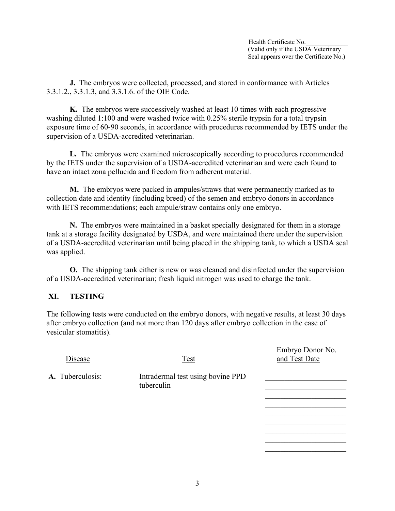Embryo Donor No.

**J.** The embryos were collected, processed, and stored in conformance with Articles 3.3.1.2., 3.3.1.3, and 3.3.1.6. of the OIE Code.

**K.** The embryos were successively washed at least 10 times with each progressive washing diluted 1:100 and were washed twice with 0.25% sterile trypsin for a total trypsin exposure time of 60-90 seconds, in accordance with procedures recommended by IETS under the supervision of a USDA-accredited veterinarian.

**L.** The embryos were examined microscopically according to procedures recommended by the IETS under the supervision of a USDA-accredited veterinarian and were each found to have an intact zona pellucida and freedom from adherent material.

**M.** The embryos were packed in ampules/straws that were permanently marked as to collection date and identity (including breed) of the semen and embryo donors in accordance with IETS recommendations; each ampule/straw contains only one embryo.

**N.** The embryos were maintained in a basket specially designated for them in a storage tank at a storage facility designated by USDA, and were maintained there under the supervision of a USDA-accredited veterinarian until being placed in the shipping tank, to which a USDA seal was applied.

**O.** The shipping tank either is new or was cleaned and disinfected under the supervision of a USDA-accredited veterinarian; fresh liquid nitrogen was used to charge the tank.

## **XI. TESTING**

The following tests were conducted on the embryo donors, with negative results, at least 30 days after embryo collection (and not more than 120 days after embryo collection in the case of vesicular stomatitis).

| Disease          | <b>Test</b>                                     | and Test Date |
|------------------|-------------------------------------------------|---------------|
| A. Tuberculosis: | Intradermal test using bovine PPD<br>tuberculin |               |
|                  |                                                 |               |

 $\mathcal{L}_\text{max}$  and  $\mathcal{L}_\text{max}$  are the set of  $\mathcal{L}_\text{max}$  and  $\mathcal{L}_\text{max}$  and  $\mathcal{L}_\text{max}$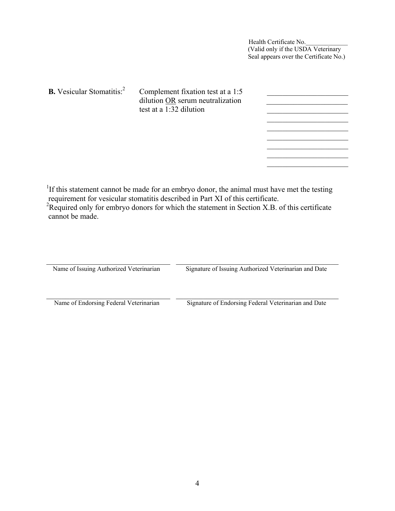| <b>B.</b> Vesicular Stomatitis: <sup>2</sup> | Complement fixation test at a 1:5<br>dilution OR serum neutralization<br>test at a 1:32 dilution |  |
|----------------------------------------------|--------------------------------------------------------------------------------------------------|--|
|                                              |                                                                                                  |  |
|                                              |                                                                                                  |  |

<sup>1</sup>If this statement cannot be made for an embryo donor, the animal must have met the testing

 requirement for vesicular stomatitis described in Part XI of this certificate. 2 Required only for embryo donors for which the statement in Section X.B. of this certificate cannot be made.

| Name of Issuing Authorized Veterinarian | Signature of Issuing Authorized Veterinarian and Date |  |  |
|-----------------------------------------|-------------------------------------------------------|--|--|
| Name of Endorsing Federal Veterinarian  | Signature of Endorsing Federal Veterinarian and Date  |  |  |